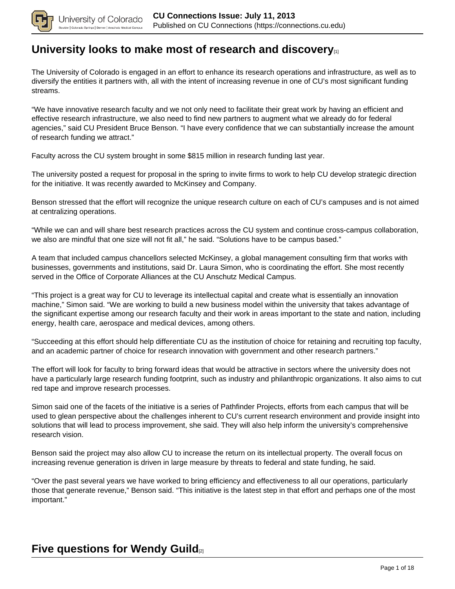

## **[University looks to make most of research and discovery](https://connections.cu.edu/stories/university-looks-make-most-research-and-discovery)**[1]

The University of Colorado is engaged in an effort to enhance its research operations and infrastructure, as well as to diversify the entities it partners with, all with the intent of increasing revenue in one of CU's most significant funding streams.

"We have innovative research faculty and we not only need to facilitate their great work by having an efficient and effective research infrastructure, we also need to find new partners to augment what we already do for federal agencies," said CU President Bruce Benson. "I have every confidence that we can substantially increase the amount of research funding we attract."

Faculty across the CU system brought in some \$815 million in research funding last year.

The university posted a request for proposal in the spring to invite firms to work to help CU develop strategic direction for the initiative. It was recently awarded to McKinsey and Company.

Benson stressed that the effort will recognize the unique research culture on each of CU's campuses and is not aimed at centralizing operations.

"While we can and will share best research practices across the CU system and continue cross-campus collaboration, we also are mindful that one size will not fit all," he said. "Solutions have to be campus based."

A team that included campus chancellors selected McKinsey, a global management consulting firm that works with businesses, governments and institutions, said Dr. Laura Simon, who is coordinating the effort. She most recently served in the Office of Corporate Alliances at the CU Anschutz Medical Campus.

"This project is a great way for CU to leverage its intellectual capital and create what is essentially an innovation machine," Simon said. "We are working to build a new business model within the university that takes advantage of the significant expertise among our research faculty and their work in areas important to the state and nation, including energy, health care, aerospace and medical devices, among others.

"Succeeding at this effort should help differentiate CU as the institution of choice for retaining and recruiting top faculty, and an academic partner of choice for research innovation with government and other research partners."

The effort will look for faculty to bring forward ideas that would be attractive in sectors where the university does not have a particularly large research funding footprint, such as industry and philanthropic organizations. It also aims to cut red tape and improve research processes.

Simon said one of the facets of the initiative is a series of Pathfinder Projects, efforts from each campus that will be used to glean perspective about the challenges inherent to CU's current research environment and provide insight into solutions that will lead to process improvement, she said. They will also help inform the university's comprehensive research vision.

Benson said the project may also allow CU to increase the return on its intellectual property. The overall focus on increasing revenue generation is driven in large measure by threats to federal and state funding, he said.

"Over the past several years we have worked to bring efficiency and effectiveness to all our operations, particularly those that generate revenue," Benson said. "This initiative is the latest step in that effort and perhaps one of the most important."

# **Five questions for Wendy Guild**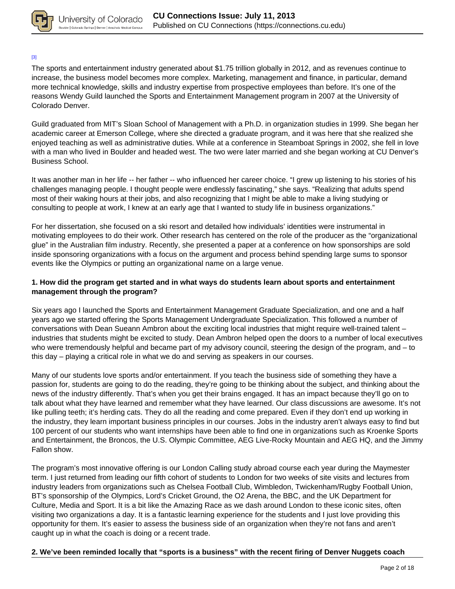

#### [3]

The sports and entertainment industry generated about \$1.75 trillion globally in 2012, and as revenues continue to increase, the business model becomes more complex. Marketing, management and finance, in particular, demand more technical knowledge, skills and industry expertise from prospective employees than before. It's one of the reasons Wendy Guild launched the Sports and Entertainment Management program in 2007 at the University of Colorado Denver.

Guild graduated from MIT's Sloan School of Management with a Ph.D. in organization studies in 1999. She began her academic career at Emerson College, where she directed a graduate program, and it was here that she realized she enjoyed teaching as well as administrative duties. While at a conference in Steamboat Springs in 2002, she fell in love with a man who lived in Boulder and headed west. The two were later married and she began working at CU Denver's Business School.

It was another man in her life -- her father -- who influenced her career choice. "I grew up listening to his stories of his challenges managing people. I thought people were endlessly fascinating," she says. "Realizing that adults spend most of their waking hours at their jobs, and also recognizing that I might be able to make a living studying or consulting to people at work, I knew at an early age that I wanted to study life in business organizations."

For her dissertation, she focused on a ski resort and detailed how individuals' identities were instrumental in motivating employees to do their work. Other research has centered on the role of the producer as the "organizational glue" in the Australian film industry. Recently, she presented a paper at a conference on how sponsorships are sold inside sponsoring organizations with a focus on the argument and process behind spending large sums to sponsor events like the Olympics or putting an organizational name on a large venue.

### **1. How did the program get started and in what ways do students learn about sports and entertainment management through the program?**

Six years ago I launched the Sports and Entertainment Management Graduate Specialization, and one and a half years ago we started offering the Sports Management Undergraduate Specialization. This followed a number of conversations with Dean Sueann Ambron about the exciting local industries that might require well-trained talent – industries that students might be excited to study. Dean Ambron helped open the doors to a number of local executives who were tremendously helpful and became part of my advisory council, steering the design of the program, and – to this day – playing a critical role in what we do and serving as speakers in our courses.

Many of our students love sports and/or entertainment. If you teach the business side of something they have a passion for, students are going to do the reading, they're going to be thinking about the subject, and thinking about the news of the industry differently. That's when you get their brains engaged. It has an impact because they'll go on to talk about what they have learned and remember what they have learned. Our class discussions are awesome. It's not like pulling teeth; it's herding cats. They do all the reading and come prepared. Even if they don't end up working in the industry, they learn important business principles in our courses. Jobs in the industry aren't always easy to find but 100 percent of our students who want internships have been able to find one in organizations such as Kroenke Sports and Entertainment, the Broncos, the U.S. Olympic Committee, AEG Live-Rocky Mountain and AEG HQ, and the Jimmy Fallon show.

The program's most innovative offering is our London Calling study abroad course each year during the Maymester term. I just returned from leading our fifth cohort of students to London for two weeks of site visits and lectures from industry leaders from organizations such as Chelsea Football Club, Wimbledon, Twickenham/Rugby Football Union, BT's sponsorship of the Olympics, Lord's Cricket Ground, the O2 Arena, the BBC, and the UK Department for Culture, Media and Sport. It is a bit like the Amazing Race as we dash around London to these iconic sites, often visiting two organizations a day. It is a fantastic learning experience for the students and I just love providing this opportunity for them. It's easier to assess the business side of an organization when they're not fans and aren't caught up in what the coach is doing or a recent trade.

### **2. We've been reminded locally that "sports is a business" with the recent firing of Denver Nuggets coach**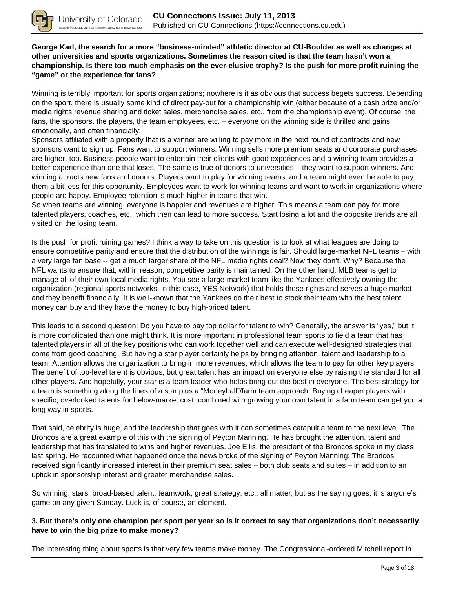

**George Karl, the search for a more "business-minded" athletic director at CU-Boulder as well as changes at other universities and sports organizations. Sometimes the reason cited is that the team hasn't won a championship. Is there too much emphasis on the ever-elusive trophy? Is the push for more profit ruining the "game" or the experience for fans?**

Winning is terribly important for sports organizations; nowhere is it as obvious that success begets success. Depending on the sport, there is usually some kind of direct pay-out for a championship win (either because of a cash prize and/or media rights revenue sharing and ticket sales, merchandise sales, etc., from the championship event). Of course, the fans, the sponsors, the players, the team employees, etc. – everyone on the winning side is thrilled and gains emotionally, and often financially:

Sponsors affiliated with a property that is a winner are willing to pay more in the next round of contracts and new sponsors want to sign up. Fans want to support winners. Winning sells more premium seats and corporate purchases are higher, too. Business people want to entertain their clients with good experiences and a winning team provides a better experience than one that loses. The same is true of donors to universities – they want to support winners. And winning attracts new fans and donors. Players want to play for winning teams, and a team might even be able to pay them a bit less for this opportunity. Employees want to work for winning teams and want to work in organizations where people are happy. Employee retention is much higher in teams that win.

So when teams are winning, everyone is happier and revenues are higher. This means a team can pay for more talented players, coaches, etc., which then can lead to more success. Start losing a lot and the opposite trends are all visited on the losing team.

Is the push for profit ruining games? I think a way to take on this question is to look at what leagues are doing to ensure competitive parity and ensure that the distribution of the winnings is fair. Should large-market NFL teams – with a very large fan base -- get a much larger share of the NFL media rights deal? Now they don't. Why? Because the NFL wants to ensure that, within reason, competitive parity is maintained. On the other hand, MLB teams get to manage all of their own local media rights. You see a large-market team like the Yankees effectively owning the organization (regional sports networks, in this case, YES Network) that holds these rights and serves a huge market and they benefit financially. It is well-known that the Yankees do their best to stock their team with the best talent money can buy and they have the money to buy high-priced talent.

This leads to a second question: Do you have to pay top dollar for talent to win? Generally, the answer is "yes," but it is more complicated than one might think. It is more important in professional team sports to field a team that has talented players in all of the key positions who can work together well and can execute well-designed strategies that come from good coaching. But having a star player certainly helps by bringing attention, talent and leadership to a team. Attention allows the organization to bring in more revenues, which allows the team to pay for other key players. The benefit of top-level talent is obvious, but great talent has an impact on everyone else by raising the standard for all other players. And hopefully, your star is a team leader who helps bring out the best in everyone. The best strategy for a team is something along the lines of a star plus a "Moneyball"/farm team approach. Buying cheaper players with specific, overlooked talents for below-market cost, combined with growing your own talent in a farm team can get you a long way in sports.

That said, celebrity is huge, and the leadership that goes with it can sometimes catapult a team to the next level. The Broncos are a great example of this with the signing of Peyton Manning. He has brought the attention, talent and leadership that has translated to wins and higher revenues. Joe Ellis, the president of the Broncos spoke in my class last spring. He recounted what happened once the news broke of the signing of Peyton Manning: The Broncos received significantly increased interest in their premium seat sales – both club seats and suites – in addition to an uptick in sponsorship interest and greater merchandise sales.

So winning, stars, broad-based talent, teamwork, great strategy, etc., all matter, but as the saying goes, it is anyone's game on any given Sunday. Luck is, of course, an element.

### **3. But there's only one champion per sport per year so is it correct to say that organizations don't necessarily have to win the big prize to make money?**

The interesting thing about sports is that very few teams make money. The Congressional-ordered Mitchell report in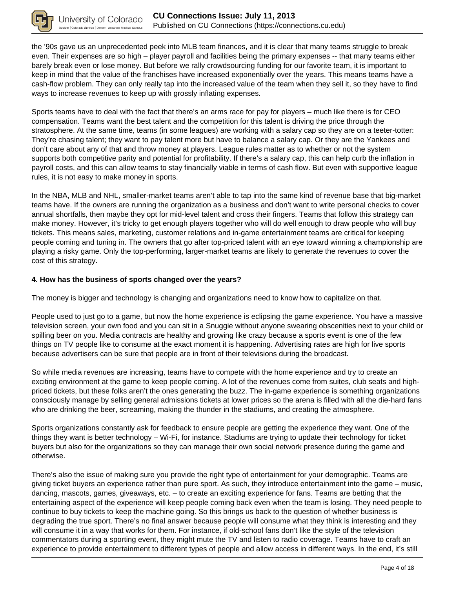

the '90s gave us an unprecedented peek into MLB team finances, and it is clear that many teams struggle to break even. Their expenses are so high – player payroll and facilities being the primary expenses -- that many teams either barely break even or lose money. But before we rally crowdsourcing funding for our favorite team, it is important to keep in mind that the value of the franchises have increased exponentially over the years. This means teams have a cash-flow problem. They can only really tap into the increased value of the team when they sell it, so they have to find ways to increase revenues to keep up with grossly inflating expenses.

Sports teams have to deal with the fact that there's an arms race for pay for players – much like there is for CEO compensation. Teams want the best talent and the competition for this talent is driving the price through the stratosphere. At the same time, teams (in some leagues) are working with a salary cap so they are on a teeter-totter: They're chasing talent; they want to pay talent more but have to balance a salary cap. Or they are the Yankees and don't care about any of that and throw money at players. League rules matter as to whether or not the system supports both competitive parity and potential for profitability. If there's a salary cap, this can help curb the inflation in payroll costs, and this can allow teams to stay financially viable in terms of cash flow. But even with supportive league rules, it is not easy to make money in sports.

In the NBA, MLB and NHL, smaller-market teams aren't able to tap into the same kind of revenue base that big-market teams have. If the owners are running the organization as a business and don't want to write personal checks to cover annual shortfalls, then maybe they opt for mid-level talent and cross their fingers. Teams that follow this strategy can make money. However, it's tricky to get enough players together who will do well enough to draw people who will buy tickets. This means sales, marketing, customer relations and in-game entertainment teams are critical for keeping people coming and tuning in. The owners that go after top-priced talent with an eye toward winning a championship are playing a risky game. Only the top-performing, larger-market teams are likely to generate the revenues to cover the cost of this strategy.

### **4. How has the business of sports changed over the years?**

The money is bigger and technology is changing and organizations need to know how to capitalize on that.

People used to just go to a game, but now the home experience is eclipsing the game experience. You have a massive television screen, your own food and you can sit in a Snuggie without anyone swearing obscenities next to your child or spilling beer on you. Media contracts are healthy and growing like crazy because a sports event is one of the few things on TV people like to consume at the exact moment it is happening. Advertising rates are high for live sports because advertisers can be sure that people are in front of their televisions during the broadcast.

So while media revenues are increasing, teams have to compete with the home experience and try to create an exciting environment at the game to keep people coming. A lot of the revenues come from suites, club seats and highpriced tickets, but these folks aren't the ones generating the buzz. The in-game experience is something organizations consciously manage by selling general admissions tickets at lower prices so the arena is filled with all the die-hard fans who are drinking the beer, screaming, making the thunder in the stadiums, and creating the atmosphere.

Sports organizations constantly ask for feedback to ensure people are getting the experience they want. One of the things they want is better technology – Wi-Fi, for instance. Stadiums are trying to update their technology for ticket buyers but also for the organizations so they can manage their own social network presence during the game and otherwise.

There's also the issue of making sure you provide the right type of entertainment for your demographic. Teams are giving ticket buyers an experience rather than pure sport. As such, they introduce entertainment into the game – music, dancing, mascots, games, giveaways, etc. – to create an exciting experience for fans. Teams are betting that the entertaining aspect of the experience will keep people coming back even when the team is losing. They need people to continue to buy tickets to keep the machine going. So this brings us back to the question of whether business is degrading the true sport. There's no final answer because people will consume what they think is interesting and they will consume it in a way that works for them. For instance, if old-school fans don't like the style of the television commentators during a sporting event, they might mute the TV and listen to radio coverage. Teams have to craft an experience to provide entertainment to different types of people and allow access in different ways. In the end, it's still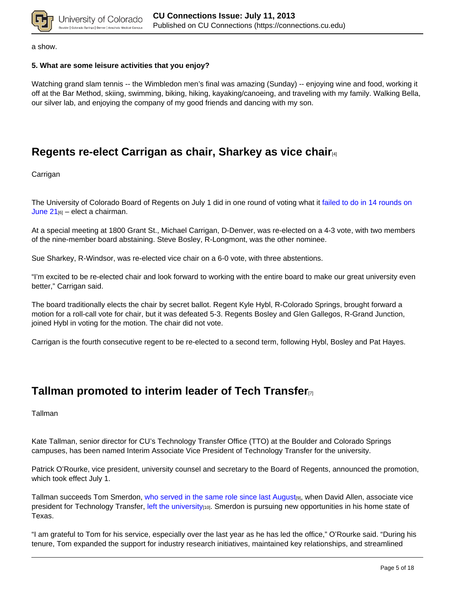

a show.

### **5. What are some leisure activities that you enjoy?**

Watching grand slam tennis -- the Wimbledon men's final was amazing (Sunday) -- enjoying wine and food, working it off at the Bar Method, skiing, swimming, biking, hiking, kayaking/canoeing, and traveling with my family. Walking Bella, our silver lab, and enjoying the company of my good friends and dancing with my son.

# **Regents re-elect Carrigan as chair, Sharkey as vice chair**[4]

Carrigan

The University of Colorado Board of Regents on July 1 did in one round of voting what it failed to do in 14 rounds on June  $21_{[6]}$  – elect a chairman.

At a special meeting at 1800 Grant St., Michael Carrigan, D-Denver, was re-elected on a 4-3 vote, with two members of the nine-member board abstaining. Steve Bosley, R-Longmont, was the other nominee.

Sue Sharkey, R-Windsor, was re-elected vice chair on a 6-0 vote, with three abstentions.

"I'm excited to be re-elected chair and look forward to working with the entire board to make our great university even better," Carrigan said.

The board traditionally elects the chair by secret ballot. Regent Kyle Hybl, R-Colorado Springs, brought forward a motion for a roll-call vote for chair, but it was defeated 5-3. Regents Bosley and Glen Gallegos, R-Grand Junction, joined Hybl in voting for the motion. The chair did not vote.

Carrigan is the fourth consecutive regent to be re-elected to a second term, following Hybl, Bosley and Pat Hayes.

## **Tallman promoted to interim leader of Tech Transfer**[7]

**Tallman** 

Kate Tallman, senior director for CU's Technology Transfer Office (TTO) at the Boulder and Colorado Springs campuses, has been named Interim Associate Vice President of Technology Transfer for the university.

Patrick O'Rourke, vice president, university counsel and secretary to the Board of Regents, announced the promotion, which took effect July 1.

Tallman succeeds Tom Smerdon, who served in the same role since last August<sub>[9]</sub>, when David Allen, associate vice president for Technology Transfer, left the university<sub>[10]</sub>. Smerdon is pursuing new opportunities in his home state of Texas.

"I am grateful to Tom for his service, especially over the last year as he has led the office," O'Rourke said. "During his tenure, Tom expanded the support for industry research initiatives, maintained key relationships, and streamlined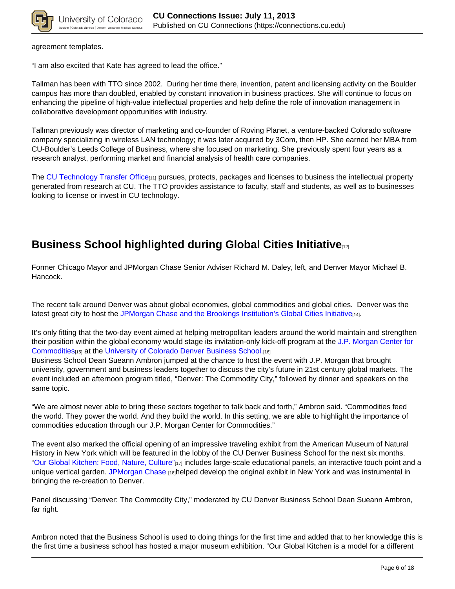

agreement templates.

"I am also excited that Kate has agreed to lead the office."

Tallman has been with TTO since 2002. During her time there, invention, patent and licensing activity on the Boulder campus has more than doubled, enabled by constant innovation in business practices. She will continue to focus on enhancing the pipeline of high-value intellectual properties and help define the role of innovation management in collaborative development opportunities with industry.

Tallman previously was director of marketing and co-founder of Roving Planet, a venture-backed Colorado software company specializing in wireless LAN technology; it was later acquired by 3Com, then HP. She earned her MBA from CU-Boulder's Leeds College of Business, where she focused on marketing. She previously spent four years as a research analyst, performing market and financial analysis of health care companies.

The CU Technology Transfer Office<sub>[11]</sub> pursues, protects, packages and licenses to business the intellectual property generated from research at CU. The TTO provides assistance to faculty, staff and students, as well as to businesses looking to license or invest in CU technology.

# **Business School highlighted during Global Cities Initiative**[12]

Former Chicago Mayor and JPMorgan Chase Senior Adviser Richard M. Daley, left, and Denver Mayor Michael B. Hancock.

The recent talk around Denver was about global economies, global commodities and global cities. Denver was the latest great city to host the JPMorgan Chase and the Brookings Institution's Global Cities Initiative<sub>[14]</sub>.

It's only fitting that the two-day event aimed at helping metropolitan leaders around the world maintain and strengthen their position within the global economy would stage its invitation-only kick-off program at the J.P. Morgan Center for Commodities<sub>[15]</sub> at the University of Colorado Denver Business School.[16]

Business School Dean Sueann Ambron jumped at the chance to host the event with J.P. Morgan that brought university, government and business leaders together to discuss the city's future in 21st century global markets. The event included an afternoon program titled, "Denver: The Commodity City," followed by dinner and speakers on the same topic.

"We are almost never able to bring these sectors together to talk back and forth," Ambron said. "Commodities feed the world. They power the world. And they build the world. In this setting, we are able to highlight the importance of commodities education through our J.P. Morgan Center for Commodities."

The event also marked the official opening of an impressive traveling exhibit from the American Museum of Natural History in New York which will be featured in the lobby of the CU Denver Business School for the next six months. "Our Global Kitchen: Food, Nature, Culture"[17] includes large-scale educational panels, an interactive touch point and a unique vertical garden. JPMorgan Chase [18]helped develop the original exhibit in New York and was instrumental in bringing the re-creation to Denver.

Panel discussing "Denver: The Commodity City," moderated by CU Denver Business School Dean Sueann Ambron, far right.

Ambron noted that the Business School is used to doing things for the first time and added that to her knowledge this is the first time a business school has hosted a major museum exhibition. "Our Global Kitchen is a model for a different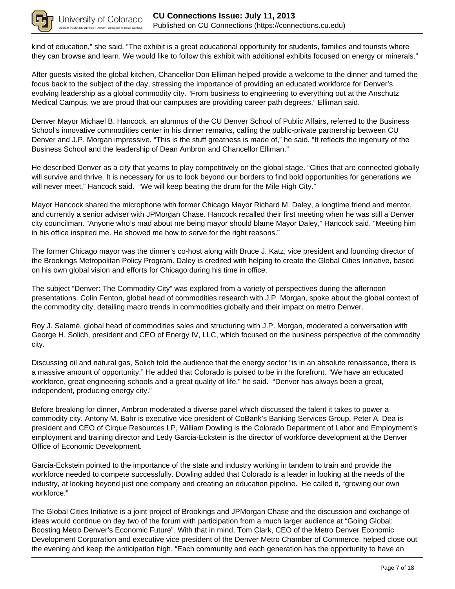

kind of education," she said. "The exhibit is a great educational opportunity for students, families and tourists where they can browse and learn. We would like to follow this exhibit with additional exhibits focused on energy or minerals."

After guests visited the global kitchen, Chancellor Don Elliman helped provide a welcome to the dinner and turned the focus back to the subject of the day, stressing the importance of providing an educated workforce for Denver's evolving leadership as a global commodity city. "From business to engineering to everything out at the Anschutz Medical Campus, we are proud that our campuses are providing career path degrees," Elliman said.

Denver Mayor Michael B. Hancock, an alumnus of the CU Denver School of Public Affairs, referred to the Business School's innovative commodities center in his dinner remarks, calling the public-private partnership between CU Denver and J.P. Morgan impressive. "This is the stuff greatness is made of," he said. "It reflects the ingenuity of the Business School and the leadership of Dean Ambron and Chancellor Elliman."

He described Denver as a city that yearns to play competitively on the global stage. "Cities that are connected globally will survive and thrive. It is necessary for us to look beyond our borders to find bold opportunities for generations we will never meet," Hancock said. "We will keep beating the drum for the Mile High City."

Mayor Hancock shared the microphone with former Chicago Mayor Richard M. Daley, a longtime friend and mentor, and currently a senior adviser with JPMorgan Chase. Hancock recalled their first meeting when he was still a Denver city councilman. "Anyone who's mad about me being mayor should blame Mayor Daley," Hancock said. "Meeting him in his office inspired me. He showed me how to serve for the right reasons."

The former Chicago mayor was the dinner's co-host along with Bruce J. Katz, vice president and founding director of the Brookings Metropolitan Policy Program. Daley is credited with helping to create the Global Cities Initiative, based on his own global vision and efforts for Chicago during his time in office.

The subject "Denver: The Commodity City" was explored from a variety of perspectives during the afternoon presentations. Colin Fenton, global head of commodities research with J.P. Morgan, spoke about the global context of the commodity city, detailing macro trends in commodities globally and their impact on metro Denver.

Roy J. Salamé, global head of commodities sales and structuring with J.P. Morgan, moderated a conversation with George H. Solich, president and CEO of Energy IV, LLC, which focused on the business perspective of the commodity city.

Discussing oil and natural gas, Solich told the audience that the energy sector "is in an absolute renaissance, there is a massive amount of opportunity." He added that Colorado is poised to be in the forefront. "We have an educated workforce, great engineering schools and a great quality of life," he said. "Denver has always been a great, independent, producing energy city."

Before breaking for dinner, Ambron moderated a diverse panel which discussed the talent it takes to power a commodity city. Antony M. Bahr is executive vice president of CoBank's Banking Services Group, Peter A. Dea is president and CEO of Cirque Resources LP, William Dowling is the Colorado Department of Labor and Employment's employment and training director and Ledy Garcia-Eckstein is the director of workforce development at the Denver Office of Economic Development.

Garcia-Eckstein pointed to the importance of the state and industry working in tandem to train and provide the workforce needed to compete successfully. Dowling added that Colorado is a leader in looking at the needs of the industry, at looking beyond just one company and creating an education pipeline. He called it, "growing our own workforce."

The Global Cities Initiative is a joint project of Brookings and JPMorgan Chase and the discussion and exchange of ideas would continue on day two of the forum with participation from a much larger audience at "Going Global: Boosting Metro Denver's Economic Future". With that in mind, Tom Clark, CEO of the Metro Denver Economic Development Corporation and executive vice president of the Denver Metro Chamber of Commerce, helped close out the evening and keep the anticipation high. "Each community and each generation has the opportunity to have an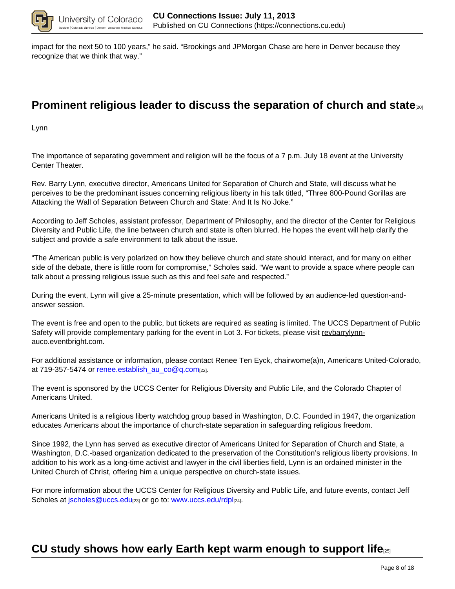

impact for the next 50 to 100 years," he said. "Brookings and JPMorgan Chase are here in Denver because they recognize that we think that way."

## **Prominent religious leader to discuss the separation of church and state**[20]

Lynn

The importance of separating government and religion will be the focus of a 7 p.m. July 18 event at the University Center Theater.

Rev. Barry Lynn, executive director, Americans United for Separation of Church and State, will discuss what he perceives to be the predominant issues concerning religious liberty in his talk titled, "Three 800-Pound Gorillas are Attacking the Wall of Separation Between Church and State: And It Is No Joke."

According to Jeff Scholes, assistant professor, Department of Philosophy, and the director of the Center for Religious Diversity and Public Life, the line between church and state is often blurred. He hopes the event will help clarify the subject and provide a safe environment to talk about the issue.

"The American public is very polarized on how they believe church and state should interact, and for many on either side of the debate, there is little room for compromise," Scholes said. "We want to provide a space where people can talk about a pressing religious issue such as this and feel safe and respected."

During the event, Lynn will give a 25-minute presentation, which will be followed by an audience-led question-andanswer session.

The event is free and open to the public, but tickets are required as seating is limited. The UCCS Department of Public Safety will provide complementary parking for the event in Lot 3. For tickets, please visit revbarrylynnauco.eventbright.com.

For additional assistance or information, please contact Renee Ten Eyck, chairwome(a)n, Americans United-Colorado, at 719-357-5474 or renee.establish au co@q.com[22].

The event is sponsored by the UCCS Center for Religious Diversity and Public Life, and the Colorado Chapter of Americans United.

Americans United is a religious liberty watchdog group based in Washington, D.C. Founded in 1947, the organization educates Americans about the importance of church-state separation in safeguarding religious freedom.

Since 1992, the Lynn has served as executive director of Americans United for Separation of Church and State, a Washington, D.C.-based organization dedicated to the preservation of the Constitution's religious liberty provisions. In addition to his work as a long-time activist and lawyer in the civil liberties field, Lynn is an ordained minister in the United Church of Christ, offering him a unique perspective on church-state issues.

For more information about the UCCS Center for Religious Diversity and Public Life, and future events, contact Jeff Scholes at jscholes@uccs.edu<sub>[23]</sub> or go to: www.uccs.edu/rdpl<sub>[24]</sub>.

## **CU study shows how early Earth kept warm enough to support life**[25]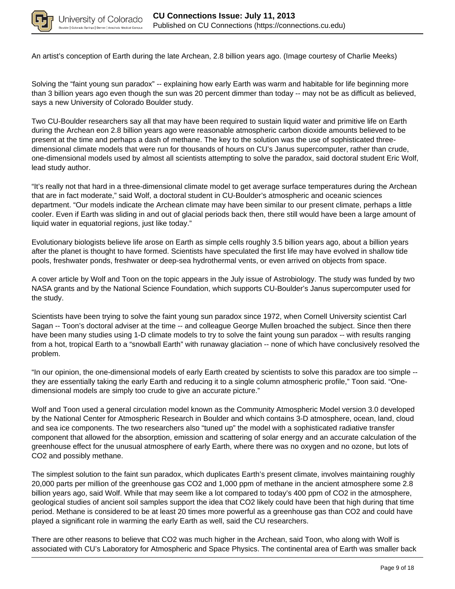

An artist's conception of Earth during the late Archean, 2.8 billion years ago. (Image courtesy of Charlie Meeks)

Solving the "faint young sun paradox" -- explaining how early Earth was warm and habitable for life beginning more than 3 billion years ago even though the sun was 20 percent dimmer than today -- may not be as difficult as believed, says a new University of Colorado Boulder study.

Two CU-Boulder researchers say all that may have been required to sustain liquid water and primitive life on Earth during the Archean eon 2.8 billion years ago were reasonable atmospheric carbon dioxide amounts believed to be present at the time and perhaps a dash of methane. The key to the solution was the use of sophisticated threedimensional climate models that were run for thousands of hours on CU's Janus supercomputer, rather than crude, one-dimensional models used by almost all scientists attempting to solve the paradox, said doctoral student Eric Wolf, lead study author.

"It's really not that hard in a three-dimensional climate model to get average surface temperatures during the Archean that are in fact moderate," said Wolf, a doctoral student in CU-Boulder's atmospheric and oceanic sciences department. "Our models indicate the Archean climate may have been similar to our present climate, perhaps a little cooler. Even if Earth was sliding in and out of glacial periods back then, there still would have been a large amount of liquid water in equatorial regions, just like today."

Evolutionary biologists believe life arose on Earth as simple cells roughly 3.5 billion years ago, about a billion years after the planet is thought to have formed. Scientists have speculated the first life may have evolved in shallow tide pools, freshwater ponds, freshwater or deep-sea hydrothermal vents, or even arrived on objects from space.

A cover article by Wolf and Toon on the topic appears in the July issue of Astrobiology. The study was funded by two NASA grants and by the National Science Foundation, which supports CU-Boulder's Janus supercomputer used for the study.

Scientists have been trying to solve the faint young sun paradox since 1972, when Cornell University scientist Carl Sagan -- Toon's doctoral adviser at the time -- and colleague George Mullen broached the subject. Since then there have been many studies using 1-D climate models to try to solve the faint young sun paradox -- with results ranging from a hot, tropical Earth to a "snowball Earth" with runaway glaciation -- none of which have conclusively resolved the problem.

"In our opinion, the one-dimensional models of early Earth created by scientists to solve this paradox are too simple - they are essentially taking the early Earth and reducing it to a single column atmospheric profile," Toon said. "Onedimensional models are simply too crude to give an accurate picture."

Wolf and Toon used a general circulation model known as the Community Atmospheric Model version 3.0 developed by the National Center for Atmospheric Research in Boulder and which contains 3-D atmosphere, ocean, land, cloud and sea ice components. The two researchers also "tuned up" the model with a sophisticated radiative transfer component that allowed for the absorption, emission and scattering of solar energy and an accurate calculation of the greenhouse effect for the unusual atmosphere of early Earth, where there was no oxygen and no ozone, but lots of CO2 and possibly methane.

The simplest solution to the faint sun paradox, which duplicates Earth's present climate, involves maintaining roughly 20,000 parts per million of the greenhouse gas CO2 and 1,000 ppm of methane in the ancient atmosphere some 2.8 billion years ago, said Wolf. While that may seem like a lot compared to today's 400 ppm of CO2 in the atmosphere, geological studies of ancient soil samples support the idea that CO2 likely could have been that high during that time period. Methane is considered to be at least 20 times more powerful as a greenhouse gas than CO2 and could have played a significant role in warming the early Earth as well, said the CU researchers.

There are other reasons to believe that CO2 was much higher in the Archean, said Toon, who along with Wolf is associated with CU's Laboratory for Atmospheric and Space Physics. The continental area of Earth was smaller back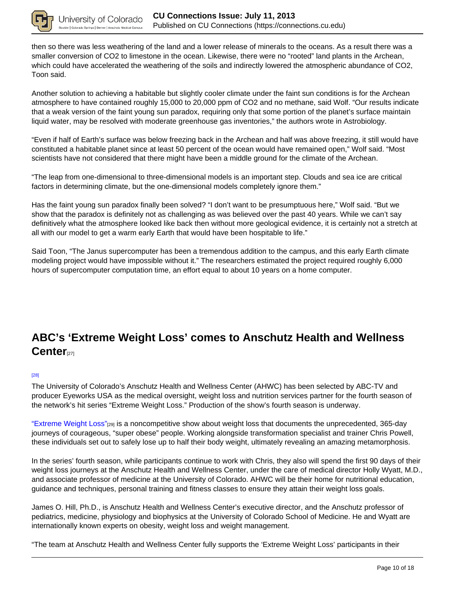

then so there was less weathering of the land and a lower release of minerals to the oceans. As a result there was a smaller conversion of CO2 to limestone in the ocean. Likewise, there were no "rooted" land plants in the Archean, which could have accelerated the weathering of the soils and indirectly lowered the atmospheric abundance of CO2, Toon said.

Another solution to achieving a habitable but slightly cooler climate under the faint sun conditions is for the Archean atmosphere to have contained roughly 15,000 to 20,000 ppm of CO2 and no methane, said Wolf. "Our results indicate that a weak version of the faint young sun paradox, requiring only that some portion of the planet's surface maintain liquid water, may be resolved with moderate greenhouse gas inventories," the authors wrote in Astrobiology.

"Even if half of Earth's surface was below freezing back in the Archean and half was above freezing, it still would have constituted a habitable planet since at least 50 percent of the ocean would have remained open," Wolf said. "Most scientists have not considered that there might have been a middle ground for the climate of the Archean.

"The leap from one-dimensional to three-dimensional models is an important step. Clouds and sea ice are critical factors in determining climate, but the one-dimensional models completely ignore them."

Has the faint young sun paradox finally been solved? "I don't want to be presumptuous here," Wolf said. "But we show that the paradox is definitely not as challenging as was believed over the past 40 years. While we can't say definitively what the atmosphere looked like back then without more geological evidence, it is certainly not a stretch at all with our model to get a warm early Earth that would have been hospitable to life."

Said Toon, "The Janus supercomputer has been a tremendous addition to the campus, and this early Earth climate modeling project would have impossible without it." The researchers estimated the project required roughly 6,000 hours of supercomputer computation time, an effort equal to about 10 years on a home computer.

# **ABC's 'Extreme Weight Loss' comes to Anschutz Health and Wellness** Center<sub>[27]</sub>

### [28]

The University of Colorado's Anschutz Health and Wellness Center (AHWC) has been selected by ABC-TV and producer Eyeworks USA as the medical oversight, weight loss and nutrition services partner for the fourth season of the network's hit series "Extreme Weight Loss." Production of the show's fourth season is underway.

"Extreme Weight Loss"[29] is a noncompetitive show about weight loss that documents the unprecedented, 365-day journeys of courageous, "super obese" people. Working alongside transformation specialist and trainer Chris Powell, these individuals set out to safely lose up to half their body weight, ultimately revealing an amazing metamorphosis.

In the series' fourth season, while participants continue to work with Chris, they also will spend the first 90 days of their weight loss journeys at the Anschutz Health and Wellness Center, under the care of medical director Holly Wyatt, M.D., and associate professor of medicine at the University of Colorado. AHWC will be their home for nutritional education, guidance and techniques, personal training and fitness classes to ensure they attain their weight loss goals.

James O. Hill, Ph.D., is Anschutz Health and Wellness Center's executive director, and the Anschutz professor of pediatrics, medicine, physiology and biophysics at the University of Colorado School of Medicine. He and Wyatt are internationally known experts on obesity, weight loss and weight management.

"The team at Anschutz Health and Wellness Center fully supports the 'Extreme Weight Loss' participants in their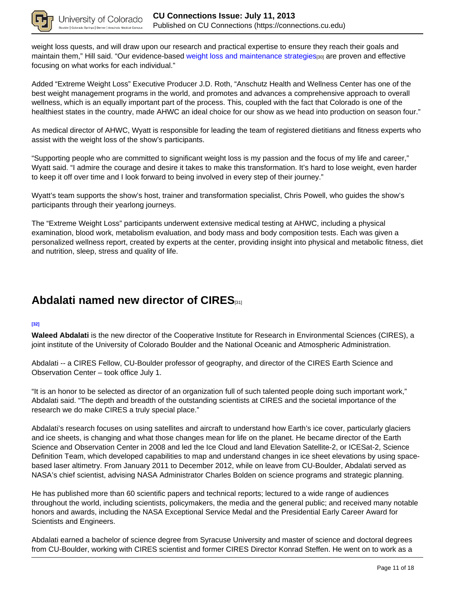

weight loss quests, and will draw upon our research and practical expertise to ensure they reach their goals and maintain them," Hill said. "Our evidence-based weight loss and maintenance strategies[30] are proven and effective focusing on what works for each individual."

Added "Extreme Weight Loss" Executive Producer J.D. Roth, "Anschutz Health and Wellness Center has one of the best weight management programs in the world, and promotes and advances a comprehensive approach to overall wellness, which is an equally important part of the process. This, coupled with the fact that Colorado is one of the healthiest states in the country, made AHWC an ideal choice for our show as we head into production on season four."

As medical director of AHWC, Wyatt is responsible for leading the team of registered dietitians and fitness experts who assist with the weight loss of the show's participants.

"Supporting people who are committed to significant weight loss is my passion and the focus of my life and career," Wyatt said. "I admire the courage and desire it takes to make this transformation. It's hard to lose weight, even harder to keep it off over time and I look forward to being involved in every step of their journey."

Wyatt's team supports the show's host, trainer and transformation specialist, Chris Powell, who guides the show's participants through their yearlong journeys.

The "Extreme Weight Loss" participants underwent extensive medical testing at AHWC, including a physical examination, blood work, metabolism evaluation, and body mass and body composition tests. Each was given a personalized wellness report, created by experts at the center, providing insight into physical and metabolic fitness, diet and nutrition, sleep, stress and quality of life.

# **Abdalati named new director of CIRES**[31]

#### **[32]**

**Waleed Abdalati** is the new director of the Cooperative Institute for Research in Environmental Sciences (CIRES), a joint institute of the University of Colorado Boulder and the National Oceanic and Atmospheric Administration.

Abdalati -- a CIRES Fellow, CU-Boulder professor of geography, and director of the CIRES Earth Science and Observation Center – took office July 1.

"It is an honor to be selected as director of an organization full of such talented people doing such important work," Abdalati said. "The depth and breadth of the outstanding scientists at CIRES and the societal importance of the research we do make CIRES a truly special place."

Abdalati's research focuses on using satellites and aircraft to understand how Earth's ice cover, particularly glaciers and ice sheets, is changing and what those changes mean for life on the planet. He became director of the Earth Science and Observation Center in 2008 and led the Ice Cloud and land Elevation Satellite-2, or ICESat-2, Science Definition Team, which developed capabilities to map and understand changes in ice sheet elevations by using spacebased laser altimetry. From January 2011 to December 2012, while on leave from CU-Boulder, Abdalati served as NASA's chief scientist, advising NASA Administrator Charles Bolden on science programs and strategic planning.

He has published more than 60 scientific papers and technical reports; lectured to a wide range of audiences throughout the world, including scientists, policymakers, the media and the general public; and received many notable honors and awards, including the NASA Exceptional Service Medal and the Presidential Early Career Award for Scientists and Engineers.

Abdalati earned a bachelor of science degree from Syracuse University and master of science and doctoral degrees from CU-Boulder, working with CIRES scientist and former CIRES Director Konrad Steffen. He went on to work as a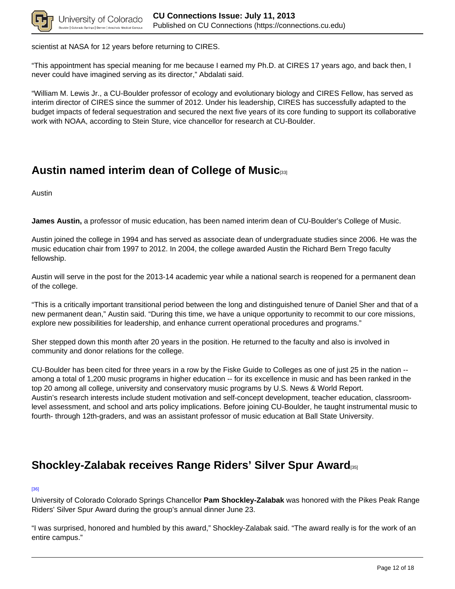

scientist at NASA for 12 years before returning to CIRES.

"This appointment has special meaning for me because I earned my Ph.D. at CIRES 17 years ago, and back then, I never could have imagined serving as its director," Abdalati said.

"William M. Lewis Jr., a CU-Boulder professor of ecology and evolutionary biology and CIRES Fellow, has served as interim director of CIRES since the summer of 2012. Under his leadership, CIRES has successfully adapted to the budget impacts of federal sequestration and secured the next five years of its core funding to support its collaborative work with NOAA, according to Stein Sture, vice chancellor for research at CU-Boulder.

## **Austin named interim dean of College of Music**[33]

Austin

**James Austin,** a professor of music education, has been named interim dean of CU-Boulder's College of Music.

Austin joined the college in 1994 and has served as associate dean of undergraduate studies since 2006. He was the music education chair from 1997 to 2012. In 2004, the college awarded Austin the Richard Bern Trego faculty fellowship.

Austin will serve in the post for the 2013-14 academic year while a national search is reopened for a permanent dean of the college.

"This is a critically important transitional period between the long and distinguished tenure of Daniel Sher and that of a new permanent dean," Austin said. "During this time, we have a unique opportunity to recommit to our core missions, explore new possibilities for leadership, and enhance current operational procedures and programs."

Sher stepped down this month after 20 years in the position. He returned to the faculty and also is involved in community and donor relations for the college.

CU-Boulder has been cited for three years in a row by the Fiske Guide to Colleges as one of just 25 in the nation - among a total of 1,200 music programs in higher education -- for its excellence in music and has been ranked in the top 20 among all college, university and conservatory music programs by U.S. News & World Report. Austin's research interests include student motivation and self-concept development, teacher education, classroomlevel assessment, and school and arts policy implications. Before joining CU-Boulder, he taught instrumental music to fourth- through 12th-graders, and was an assistant professor of music education at Ball State University.

## **Shockley-Zalabak receives Range Riders' Silver Spur Award**[35]

#### [36]

University of Colorado Colorado Springs Chancellor **Pam Shockley-Zalabak** was honored with the Pikes Peak Range Riders' Silver Spur Award during the group's annual dinner June 23.

"I was surprised, honored and humbled by this award," Shockley-Zalabak said. "The award really is for the work of an entire campus."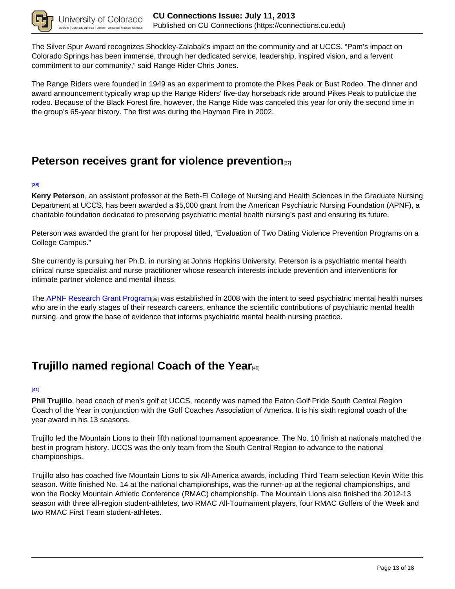

The Silver Spur Award recognizes Shockley-Zalabak's impact on the community and at UCCS. "Pam's impact on Colorado Springs has been immense, through her dedicated service, leadership, inspired vision, and a fervent commitment to our community," said Range Rider Chris Jones.

The Range Riders were founded in 1949 as an experiment to promote the Pikes Peak or Bust Rodeo. The dinner and award announcement typically wrap up the Range Riders' five-day horseback ride around Pikes Peak to publicize the rodeo. Because of the Black Forest fire, however, the Range Ride was canceled this year for only the second time in the group's 65-year history. The first was during the Hayman Fire in 2002.

## **Peterson receives grant for violence prevention**[37]

#### **[38]**

**Kerry Peterson**, an assistant professor at the Beth-El College of Nursing and Health Sciences in the Graduate Nursing Department at UCCS, has been awarded a \$5,000 grant from the American Psychiatric Nursing Foundation (APNF), a charitable foundation dedicated to preserving psychiatric mental health nursing's past and ensuring its future.

Peterson was awarded the grant for her proposal titled, "Evaluation of Two Dating Violence Prevention Programs on a College Campus."

She currently is pursuing her Ph.D. in nursing at Johns Hopkins University. Peterson is a psychiatric mental health clinical nurse specialist and nurse practitioner whose research interests include prevention and interventions for intimate partner violence and mental illness.

The APNF Research Grant Program<sub>[39]</sub> was established in 2008 with the intent to seed psychiatric mental health nurses who are in the early stages of their research careers, enhance the scientific contributions of psychiatric mental health nursing, and grow the base of evidence that informs psychiatric mental health nursing practice.

# **Trujillo named regional Coach of the Year**[40]

#### **[41]**

**Phil Trujillo**, head coach of men's golf at UCCS, recently was named the Eaton Golf Pride South Central Region Coach of the Year in conjunction with the Golf Coaches Association of America. It is his sixth regional coach of the year award in his 13 seasons.

Trujillo led the Mountain Lions to their fifth national tournament appearance. The No. 10 finish at nationals matched the best in program history. UCCS was the only team from the South Central Region to advance to the national championships.

Trujillo also has coached five Mountain Lions to six All-America awards, including Third Team selection Kevin Witte this season. Witte finished No. 14 at the national championships, was the runner-up at the regional championships, and won the Rocky Mountain Athletic Conference (RMAC) championship. The Mountain Lions also finished the 2012-13 season with three all-region student-athletes, two RMAC All-Tournament players, four RMAC Golfers of the Week and two RMAC First Team student-athletes.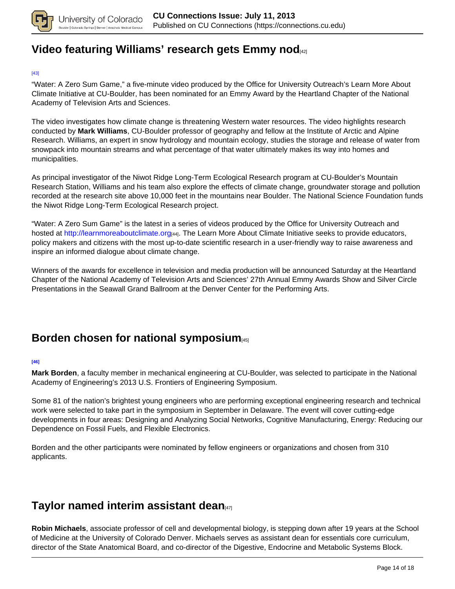

## **Video featuring Williams' research gets Emmy nod**[42]

#### [43]

"Water: A Zero Sum Game," a five-minute video produced by the Office for University Outreach's Learn More About Climate Initiative at CU-Boulder, has been nominated for an Emmy Award by the Heartland Chapter of the National Academy of Television Arts and Sciences.

The video investigates how climate change is threatening Western water resources. The video highlights research conducted by **Mark Williams**, CU-Boulder professor of geography and fellow at the Institute of Arctic and Alpine Research. Williams, an expert in snow hydrology and mountain ecology, studies the storage and release of water from snowpack into mountain streams and what percentage of that water ultimately makes its way into homes and municipalities.

As principal investigator of the Niwot Ridge Long-Term Ecological Research program at CU-Boulder's Mountain Research Station, Williams and his team also explore the effects of climate change, groundwater storage and pollution recorded at the research site above 10,000 feet in the mountains near Boulder. The National Science Foundation funds the Niwot Ridge Long-Term Ecological Research project.

"Water: A Zero Sum Game" is the latest in a series of videos produced by the Office for University Outreach and hosted at http://learnmoreaboutclimate.org<sub>[44]</sub>. The Learn More About Climate Initiative seeks to provide educators, policy makers and citizens with the most up-to-date scientific research in a user-friendly way to raise awareness and inspire an informed dialogue about climate change.

Winners of the awards for excellence in television and media production will be announced Saturday at the Heartland Chapter of the National Academy of Television Arts and Sciences' 27th Annual Emmy Awards Show and Silver Circle Presentations in the Seawall Grand Ballroom at the Denver Center for the Performing Arts.

## **Borden chosen for national symposium**

#### **[46]**

**Mark Borden**, a faculty member in mechanical engineering at CU-Boulder, was selected to participate in the National Academy of Engineering's 2013 U.S. Frontiers of Engineering Symposium.

Some 81 of the nation's brightest young engineers who are performing exceptional engineering research and technical work were selected to take part in the symposium in September in Delaware. The event will cover cutting-edge developments in four areas: Designing and Analyzing Social Networks, Cognitive Manufacturing, Energy: Reducing our Dependence on Fossil Fuels, and Flexible Electronics.

Borden and the other participants were nominated by fellow engineers or organizations and chosen from 310 applicants.

## **Taylor named interim assistant dean**[47]

**Robin Michaels**, associate professor of cell and developmental biology, is stepping down after 19 years at the School of Medicine at the University of Colorado Denver. Michaels serves as assistant dean for essentials core curriculum, director of the State Anatomical Board, and co-director of the Digestive, Endocrine and Metabolic Systems Block.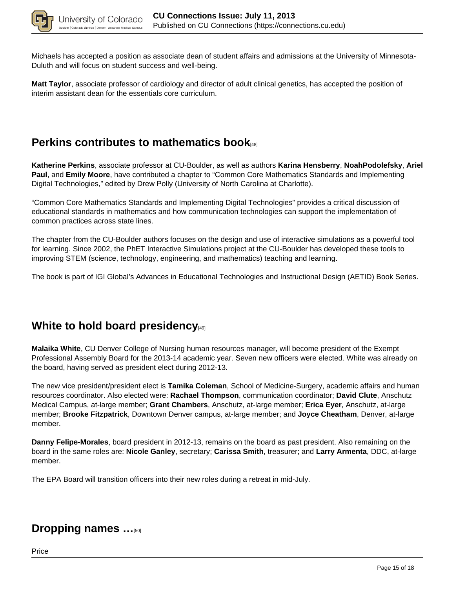

Michaels has accepted a position as associate dean of student affairs and admissions at the University of Minnesota-Duluth and will focus on student success and well-being.

**Matt Taylor**, associate professor of cardiology and director of adult clinical genetics, has accepted the position of interim assistant dean for the essentials core curriculum.

## **Perkins contributes to mathematics book**[48]

**Katherine Perkins**, associate professor at CU-Boulder, as well as authors **Karina Hensberry**, **NoahPodolefsky**, **Ariel Paul**, and **Emily Moore**, have contributed a chapter to "Common Core Mathematics Standards and Implementing Digital Technologies," edited by Drew Polly (University of North Carolina at Charlotte).

"Common Core Mathematics Standards and Implementing Digital Technologies" provides a critical discussion of educational standards in mathematics and how communication technologies can support the implementation of common practices across state lines.

The chapter from the CU-Boulder authors focuses on the design and use of interactive simulations as a powerful tool for learning. Since 2002, the PhET Interactive Simulations project at the CU-Boulder has developed these tools to improving STEM (science, technology, engineering, and mathematics) teaching and learning.

The book is part of IGI Global's Advances in Educational Technologies and Instructional Design (AETID) Book Series.

## **White to hold board presidency**

**Malaika White**, CU Denver College of Nursing human resources manager, will become president of the Exempt Professional Assembly Board for the 2013-14 academic year. Seven new officers were elected. White was already on the board, having served as president elect during 2012-13.

The new vice president/president elect is **Tamika Coleman**, School of Medicine-Surgery, academic affairs and human resources coordinator. Also elected were: **Rachael Thompson**, communication coordinator; **David Clute**, Anschutz Medical Campus, at-large member; **Grant Chambers**, Anschutz, at-large member; **Erica Eyer**, Anschutz, at-large member; **Brooke Fitzpatrick**, Downtown Denver campus, at-large member; and **Joyce Cheatham**, Denver, at-large member.

**Danny Felipe-Morales**, board president in 2012-13, remains on the board as past president. Also remaining on the board in the same roles are: **Nicole Ganley**, secretary; **Carissa Smith**, treasurer; and **Larry Armenta**, DDC, at-large member.

The EPA Board will transition officers into their new roles during a retreat in mid-July.

## **Dropping names …**[50]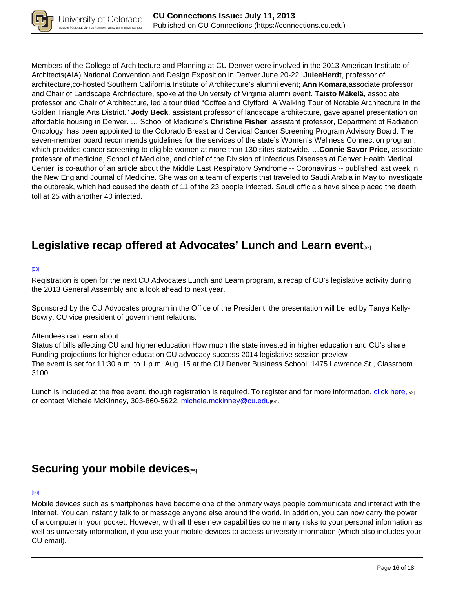

Members of the College of Architecture and Planning at CU Denver were involved in the 2013 American Institute of Architects(AIA) National Convention and Design Exposition in Denver June 20-22. **JuleeHerdt**, professor of architecture,co-hosted Southern California Institute of Architecture's alumni event; **Ann Komara**,associate professor and Chair of Landscape Architecture, spoke at the University of Virginia alumni event. **Taisto Mäkelä**, associate professor and Chair of Architecture, led a tour titled "Coffee and Clyfford: A Walking Tour of Notable Architecture in the Golden Triangle Arts District." **Jody Beck**, assistant professor of landscape architecture, gave apanel presentation on affordable housing in Denver. … School of Medicine's **Christine Fisher**, assistant professor, Department of Radiation Oncology, has been appointed to the Colorado Breast and Cervical Cancer Screening Program Advisory Board. The seven-member board recommends guidelines for the services of the state's Women's Wellness Connection program, which provides cancer screening to eligible women at more than 130 sites statewide. …**Connie Savor Price**, associate professor of medicine, School of Medicine, and chief of the Division of Infectious Diseases at Denver Health Medical Center, is co-author of an article about the Middle East Respiratory Syndrome -- Coronavirus -- published last week in the New England Journal of Medicine. She was on a team of experts that traveled to Saudi Arabia in May to investigate the outbreak, which had caused the death of 11 of the 23 people infected. Saudi officials have since placed the death toll at 25 with another 40 infected.

# **Legislative recap offered at Advocates' Lunch and Learn event**[52]

#### [53]

Registration is open for the next CU Advocates Lunch and Learn program, a recap of CU's legislative activity during the 2013 General Assembly and a look ahead to next year.

Sponsored by the CU Advocates program in the Office of the President, the presentation will be led by Tanya Kelly-Bowry, CU vice president of government relations.

### Attendees can learn about:

Status of bills affecting CU and higher education How much the state invested in higher education and CU's share Funding projections for higher education CU advocacy success 2014 legislative session preview The event is set for 11:30 a.m. to 1 p.m. Aug. 15 at the CU Denver Business School, 1475 Lawrence St., Classroom 3100.

Lunch is included at the free event, though registration is required. To register and for more information, click here,[53] or contact Michele McKinney, 303-860-5622, michele.mckinney@cu.edu[54].

## Securing your mobile devices<sub>[55]</sub>

#### [56]

Mobile devices such as smartphones have become one of the primary ways people communicate and interact with the Internet. You can instantly talk to or message anyone else around the world. In addition, you can now carry the power of a computer in your pocket. However, with all these new capabilities come many risks to your personal information as well as university information, if you use your mobile devices to access university information (which also includes your CU email).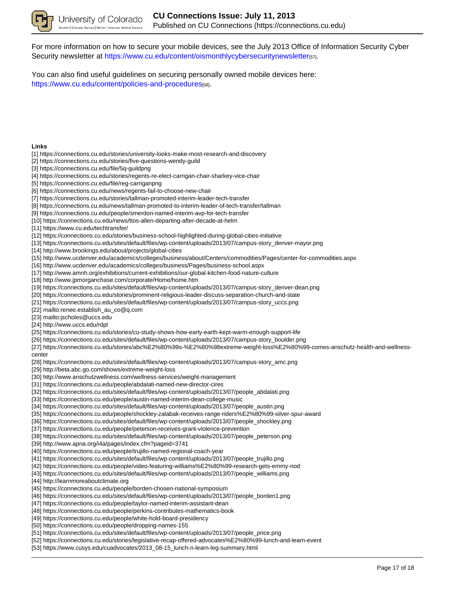

For more information on how to secure your mobile devices, see the July 2013 Office of Information Security Cyber Security newsletter at https://www.cu.edu/content/oismonthlycybersecuritynewsletter[57].

You can also find useful guidelines on securing personally owned mobile devices here: https://www.cu.edu/content/policies-and-procedures[58].

#### **Links**

- [1] https://connections.cu.edu/stories/university-looks-make-most-research-and-discovery
- [2] https://connections.cu.edu/stories/five-questions-wendy-guild
- [3] https://connections.cu.edu/file/5q-guildpng
- [4] https://connections.cu.edu/stories/regents-re-elect-carrigan-chair-sharkey-vice-chair
- [5] https://connections.cu.edu/file/reg-carriganpng
- [6] https://connections.cu.edu/news/regents-fail-to-choose-new-chair
- [7] https://connections.cu.edu/stories/tallman-promoted-interim-leader-tech-transfer
- [8] https://connections.cu.edu/news/tallman-promoted-to-interim-leader-of-tech-transfer/tallman
- [9] https://connections.cu.edu/people/smerdon-named-interim-avp-for-tech-transfer
- [10] https://connections.cu.edu/news/ttos-allen-departing-after-decade-at-helm
- [11] https://www.cu.edu/techtransfer/
- [12] https://connections.cu.edu/stories/business-school-highlighted-during-global-cities-initiative
- [13] https://connections.cu.edu/sites/default/files/wp-content/uploads/2013/07/campus-story\_denver-mayor.png
- [14] http://www.brookings.edu/about/projects/global-cities
- [15] http://www.ucdenver.edu/academics/colleges/business/about/Centers/commodities/Pages/center-for-commodities.aspx
- [16] http://www.ucdenver.edu/academics/colleges/business/Pages/business-school.aspx
- [17] http://www.amnh.org/exhibitions/current-exhibitions/our-global-kitchen-food-nature-culture
- [18] http://www.jpmorganchase.com/corporate/Home/home.htm
- [19] https://connections.cu.edu/sites/default/files/wp-content/uploads/2013/07/campus-story\_denver-dean.png
- [20] https://connections.cu.edu/stories/prominent-religious-leader-discuss-separation-church-and-state
- [21] https://connections.cu.edu/sites/default/files/wp-content/uploads/2013/07/campus-story\_uccs.png
- [22] mailto:renee.establish\_au\_co@q.com
- [23] mailto:jscholes@uccs.edu
- [24] http://www.uccs.edu/rdpl
- [25] https://connections.cu.edu/stories/cu-study-shows-how-early-earth-kept-warm-enough-support-life
- [26] https://connections.cu.edu/sites/default/files/wp-content/uploads/2013/07/campus-story\_boulder.png
- [27] https://connections.cu.edu/stories/abc%E2%80%99s-%E2%80%98extreme-weight-loss%E2%80%99-comes-anschutz-health-and-wellness-

center

- [28] https://connections.cu.edu/sites/default/files/wp-content/uploads/2013/07/campus-story\_amc.png
- [29] http://beta.abc.go.com/shows/extreme-weight-loss
- [30] http://www.anschutzwellness.com/wellness-services/weight-management
- [31] https://connections.cu.edu/people/abdalati-named-new-director-cires
- [32] https://connections.cu.edu/sites/default/files/wp-content/uploads/2013/07/people\_abdalati.png
- [33] https://connections.cu.edu/people/austin-named-interim-dean-college-music
- [34] https://connections.cu.edu/sites/default/files/wp-content/uploads/2013/07/people\_austin.png
- [35] https://connections.cu.edu/people/shockley-zalabak-receives-range-riders%E2%80%99-silver-spur-award
- [36] https://connections.cu.edu/sites/default/files/wp-content/uploads/2013/07/people\_shockley.png
- [37] https://connections.cu.edu/people/peterson-receives-grant-violence-prevention
- [38] https://connections.cu.edu/sites/default/files/wp-content/uploads/2013/07/people\_peterson.png
- [39] http://www.apna.org/i4a/pages/index.cfm?pageid=3741
- [40] https://connections.cu.edu/people/trujillo-named-regional-coach-year
- [41] https://connections.cu.edu/sites/default/files/wp-content/uploads/2013/07/people\_trujillo.png
- [42] https://connections.cu.edu/people/video-featuring-williams%E2%80%99-research-gets-emmy-nod
- [43] https://connections.cu.edu/sites/default/files/wp-content/uploads/2013/07/people\_williams.png
- [44] http://learnmoreaboutclimate.org
- [45] https://connections.cu.edu/people/borden-chosen-national-symposium
- [46] https://connections.cu.edu/sites/default/files/wp-content/uploads/2013/07/people\_borden1.png
- [47] https://connections.cu.edu/people/taylor-named-interim-assistant-dean
- [48] https://connections.cu.edu/people/perkins-contributes-mathematics-book
- [49] https://connections.cu.edu/people/white-hold-board-presidency
- [50] https://connections.cu.edu/people/dropping-names-155
- [51] https://connections.cu.edu/sites/default/files/wp-content/uploads/2013/07/people\_price.png
- [52] https://connections.cu.edu/stories/legislative-recap-offered-advocates%E2%80%99-lunch-and-learn-event
- [53] https://www.cusys.edu/cuadvocates/2013\_08-15\_lunch-n-learn-leg-summary.html